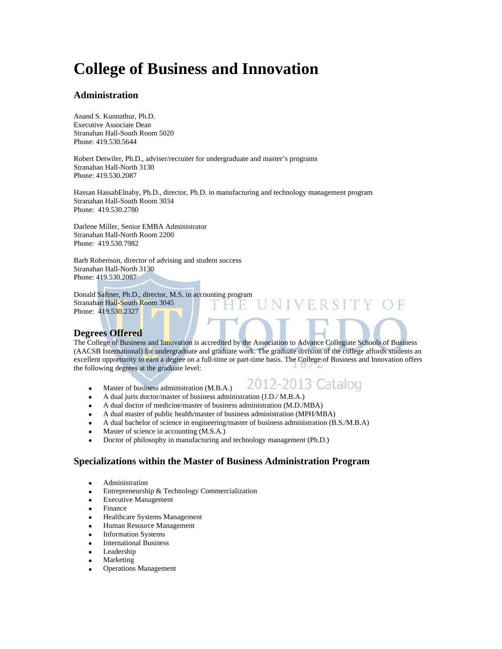# **College of Business and Innovation**

#### **Administration**

Anand S. Kunnathur, Ph.D. Executive Associate Dean Stranahan Hall-South Room 5020 Phone: 419.530.5644

Robert Detwiler, Ph.D., adviser/recruiter for undergraduate and master's programs Stranahan Hall-North 3130 Phone: 419.530.2087

Hassan HassabElnaby, Ph.D., director, Ph.D. in manufacturing and technology management program Stranahan Hall-South Room 3034 Phone: 419.530.2780

Darlene Miller, Senior EMBA Administrator Stranahan Hall-North Room 2200 Phone: 419.530.7982

Barb Robertson, director of advising and student success Stranahan Hall-North 3130 Phone: 419.530.2087

Donald Saftner, Ph.D., director, M.S. in accounting program Stranahan Hall-South Room 3045 Phone: 419.530.2327

#### **Degrees Offered**

The College of Business and Innovation is accredited by the Association to Advance Collegiate Schools of Business (AACSB International) for undergraduate and graduate work. The graduate division of the college affords students an excellent opportunity to earn a degree on a full-time or part-time basis. The College of Business and Innovation offers the following degrees at the graduate level:

Master of business administration (M.B.A.)



ERSITY

- A dual juris doctor/master of business administration (J.D./ M.B.A.)
- A dual doctor of medicine/master of business administration (M.D./MBA)
- A dual master of public health/master of business administration (MPH/MBA)
- A dual bachelor of science in engineering/master of business administration (B.S./M.B.A)
- Master of science in accounting (M.S.A.)
- Doctor of philosophy in manufacturing and technology management (Ph.D.)

#### **Specializations within the Master of Business Administration Program**

- Administration
- Entrepreneurship & Technology Commercialization
- Executive Management
- Finance
- Healthcare Systems Management
- Human Resource Management
- Information Systems
- International Business
- Leadership
- Marketing
- Operations Management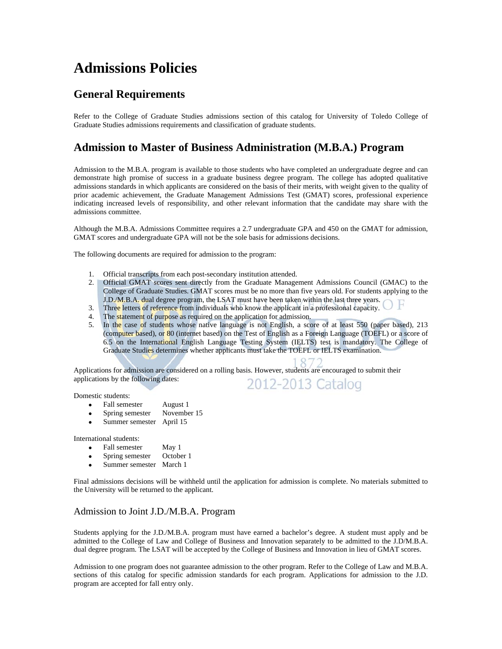# **Admissions Policies**

### **General Requirements**

Refer to the College of Graduate Studies admissions section of this catalog for University of Toledo College of Graduate Studies admissions requirements and classification of graduate students.

### **Admission to Master of Business Administration (M.B.A.) Program**

Admission to the M.B.A. program is available to those students who have completed an undergraduate degree and can demonstrate high promise of success in a graduate business degree program. The college has adopted qualitative admissions standards in which applicants are considered on the basis of their merits, with weight given to the quality of prior academic achievement, the Graduate Management Admissions Test (GMAT) scores, professional experience indicating increased levels of responsibility, and other relevant information that the candidate may share with the admissions committee.

Although the M.B.A. Admissions Committee requires a 2.7 undergraduate GPA and 450 on the GMAT for admission, GMAT scores and undergraduate GPA will not be the sole basis for admissions decisions.

The following documents are required for admission to the program:

- 1. Official transcripts from each post-secondary institution attended.
- 2. Official GMAT scores sent directly from the Graduate Management Admissions Council (GMAC) to the College of Graduate Studies. GMAT scores must be no more than five years old. For students applying to the J.D./M.B.A. dual degree program, the LSAT must have been taken within the last three years.
- 3. Three letters of reference from individuals who know the applicant in a professional capacity.
- 4. The statement of purpose as required on the application for admission.
- 5. In the case of students whose native language is not English, a score of at least 550 (paper based), 213 (computer based), or 80 (internet based) on the Test of English as a Foreign Language (TOEFL) or a score of 6.5 on the International English Language Testing System (IELTS) test is mandatory. The College of Graduate Studies determines whether applicants must take the TOEFL or IELTS examination.

Applications for admission are considered on a rolling basis. However, students are encouraged to submit their applications by the following dates: 2012-2013 Catalog

Domestic students:

- Fall semester August 1
- Spring semester November 15
- Summer semester April 15

International students:

- Fall semester May 1
- Spring semester October 1
- Summer semester March 1

Final admissions decisions will be withheld until the application for admission is complete. No materials submitted to the University will be returned to the applicant.

#### Admission to Joint J.D./M.B.A. Program

Students applying for the J.D./M.B.A. program must have earned a bachelor's degree. A student must apply and be admitted to the College of Law and College of Business and Innovation separately to be admitted to the J.D/M.B.A. dual degree program. The LSAT will be accepted by the College of Business and Innovation in lieu of GMAT scores.

Admission to one program does not guarantee admission to the other program. Refer to the College of Law and M.B.A. sections of this catalog for specific admission standards for each program. Applications for admission to the J.D. program are accepted for fall entry only.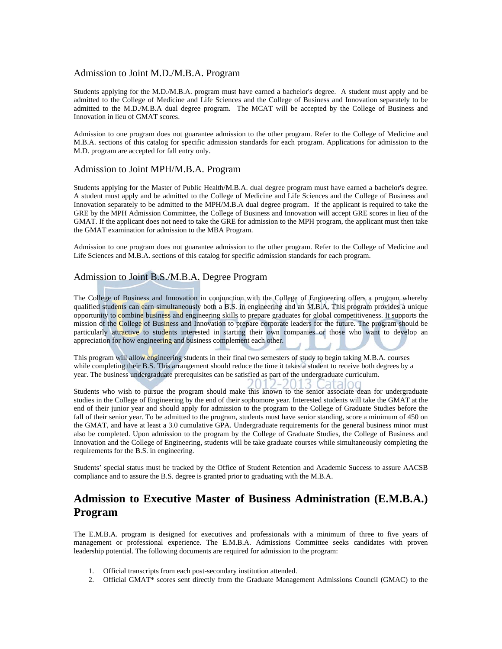#### Admission to Joint M.D./M.B.A. Program

Students applying for the M.D./M.B.A. program must have earned a bachelor's degree. A student must apply and be admitted to the College of Medicine and Life Sciences and the College of Business and Innovation separately to be admitted to the M.D./M.B.A dual degree program. The MCAT will be accepted by the College of Business and Innovation in lieu of GMAT scores.

Admission to one program does not guarantee admission to the other program. Refer to the College of Medicine and M.B.A. sections of this catalog for specific admission standards for each program. Applications for admission to the M.D. program are accepted for fall entry only.

#### Admission to Joint MPH/M.B.A. Program

Students applying for the Master of Public Health/M.B.A. dual degree program must have earned a bachelor's degree. A student must apply and be admitted to the College of Medicine and Life Sciences and the College of Business and Innovation separately to be admitted to the MPH/M.B.A dual degree program. If the applicant is required to take the GRE by the MPH Admission Committee, the College of Business and Innovation will accept GRE scores in lieu of the GMAT. If the applicant does not need to take the GRE for admission to the MPH program, the applicant must then take the GMAT examination for admission to the MBA Program.

Admission to one program does not guarantee admission to the other program. Refer to the College of Medicine and Life Sciences and M.B.A. sections of this catalog for specific admission standards for each program.

#### Admission to Joint B.S./M.B.A. Degree Program

The College of Business and Innovation in conjunction with the College of Engineering offers a program whereby qualified students can earn simultaneously both a B.S. in engineering and an M.B.A. This program provides a unique opportunity to combine business and engineering skills to prepare graduates for global competitiveness. It supports the mission of the College of Business and Innovation to prepare corporate leaders for the future. The program should be particularly attractive to students interested in starting their own companies or those who want to develop an appreciation for how engineering and business complement each other.

This program will allow engineering students in their final two semesters of study to begin taking M.B.A. courses while completing their B.S. This arrangement should reduce the time it takes a student to receive both degrees by a year. The business undergraduate prerequisites can be satisfied as part of the undergraduate curriculum.

lataloi Students who wish to pursue the program should make this known to the senior associate dean for undergraduate studies in the College of Engineering by the end of their sophomore year. Interested students will take the GMAT at the end of their junior year and should apply for admission to the program to the College of Graduate Studies before the fall of their senior year. To be admitted to the program, students must have senior standing, score a minimum of 450 on the GMAT, and have at least a 3.0 cumulative GPA. Undergraduate requirements for the general business minor must also be completed. Upon admission to the program by the College of Graduate Studies, the College of Business and Innovation and the College of Engineering, students will be take graduate courses while simultaneously completing the requirements for the B.S. in engineering.

Students' special status must be tracked by the Office of Student Retention and Academic Success to assure AACSB compliance and to assure the B.S. degree is granted prior to graduating with the M.B.A.

### **Admission to Executive Master of Business Administration (E.M.B.A.) Program**

The E.M.B.A. program is designed for executives and professionals with a minimum of three to five years of management or professional experience. The E.M.B.A. Admissions Committee seeks candidates with proven leadership potential. The following documents are required for admission to the program:

- 1. Official transcripts from each post-secondary institution attended.
- 2. Official GMAT\* scores sent directly from the Graduate Management Admissions Council (GMAC) to the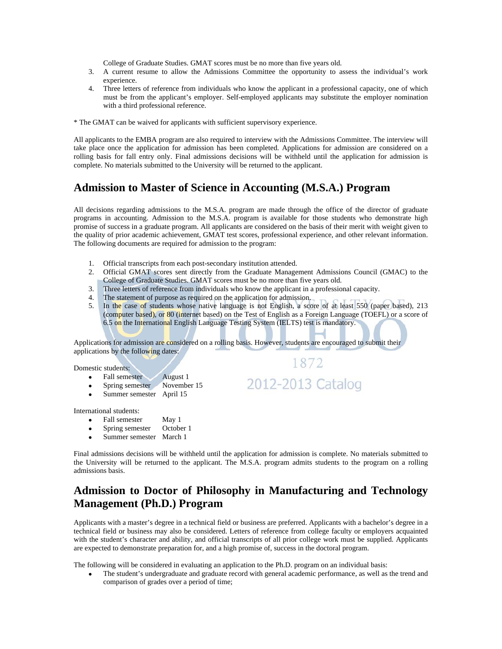College of Graduate Studies. GMAT scores must be no more than five years old.

- 3. A current resume to allow the Admissions Committee the opportunity to assess the individual's work experience.
- 4. Three letters of reference from individuals who know the applicant in a professional capacity, one of which must be from the applicant's employer. Self-employed applicants may substitute the employer nomination with a third professional reference.

\* The GMAT can be waived for applicants with sufficient supervisory experience.

All applicants to the EMBA program are also required to interview with the Admissions Committee. The interview will take place once the application for admission has been completed. Applications for admission are considered on a rolling basis for fall entry only. Final admissions decisions will be withheld until the application for admission is complete. No materials submitted to the University will be returned to the applicant.

### **Admission to Master of Science in Accounting (M.S.A.) Program**

All decisions regarding admissions to the M.S.A. program are made through the office of the director of graduate programs in accounting. Admission to the M.S.A. program is available for those students who demonstrate high promise of success in a graduate program. All applicants are considered on the basis of their merit with weight given to the quality of prior academic achievement, GMAT test scores, professional experience, and other relevant information. The following documents are required for admission to the program:

- 1. Official transcripts from each post-secondary institution attended.
- 2. Official GMAT scores sent directly from the Graduate Management Admissions Council (GMAC) to the College of Graduate Studies. GMAT scores must be no more than five years old.
- 3. Three letters of reference from individuals who know the applicant in a professional capacity.
- 4. The statement of purpose as required on the application for admission.
- 5. In the case of students whose native language is not English, a score of at least 550 (paper based), 213 (computer based), or 80 (internet based) on the Test of English as a Foreign Language (TOEFL) or a score of 6.5 on the International English Language Testing System (IELTS) test is mandatory.

1872

2012-2013 Catalog

Applications for admission are considered on a rolling basis. However, students are encouraged to submit their applications by the following dates:

Domestic students:

- Fall semester August 1
- Spring semester November 15
- Summer semester April 15

International students:

- Fall semester May 1
- Spring semester October 1
- Summer semester March 1

Final admissions decisions will be withheld until the application for admission is complete. No materials submitted to the University will be returned to the applicant. The M.S.A. program admits students to the program on a rolling admissions basis.

### **Admission to Doctor of Philosophy in Manufacturing and Technology Management (Ph.D.) Program**

Applicants with a master's degree in a technical field or business are preferred. Applicants with a bachelor's degree in a technical field or business may also be considered. Letters of reference from college faculty or employers acquainted with the student's character and ability, and official transcripts of all prior college work must be supplied. Applicants are expected to demonstrate preparation for, and a high promise of, success in the doctoral program.

The following will be considered in evaluating an application to the Ph.D. program on an individual basis:

 The student's undergraduate and graduate record with general academic performance, as well as the trend and comparison of grades over a period of time;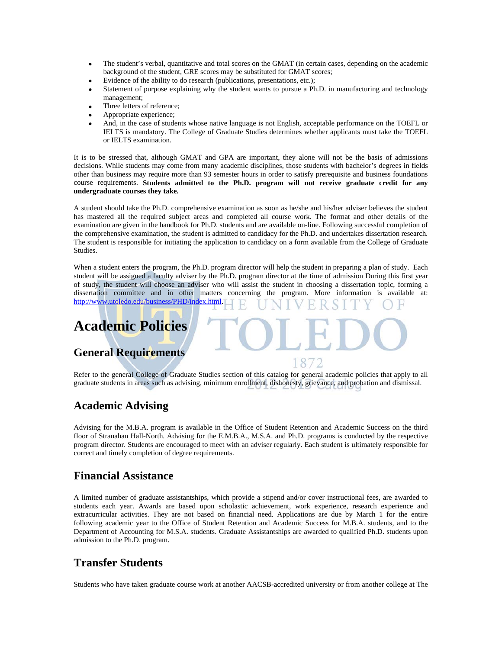- The student's verbal, quantitative and total scores on the GMAT (in certain cases, depending on the academic background of the student, GRE scores may be substituted for GMAT scores;
- Evidence of the ability to do research (publications, presentations, etc.);
- Statement of purpose explaining why the student wants to pursue a Ph.D. in manufacturing and technology management;
- Three letters of reference;
- Appropriate experience;
- And, in the case of students whose native language is not English, acceptable performance on the TOEFL or IELTS is mandatory. The College of Graduate Studies determines whether applicants must take the TOEFL or IELTS examination.

It is to be stressed that, although GMAT and GPA are important, they alone will not be the basis of admissions decisions. While students may come from many academic disciplines, those students with bachelor's degrees in fields other than business may require more than 93 semester hours in order to satisfy prerequisite and business foundations course requirements. **Students admitted to the Ph.D. program will not receive graduate credit for any undergraduate courses they take.**

A student should take the Ph.D. comprehensive examination as soon as he/she and his/her adviser believes the student has mastered all the required subject areas and completed all course work. The format and other details of the examination are given in the handbook for Ph.D. students and are available on-line. Following successful completion of the comprehensive examination, the student is admitted to candidacy for the Ph.D. and undertakes dissertation research. The student is responsible for initiating the application to candidacy on a form available from the College of Graduate Studies.

When a student enters the program, the Ph.D. program director will help the student in preparing a plan of study. Each student will be assigned a faculty adviser by the Ph.D. program director at the time of admission During this first year of study, the student will choose an adviser who will assist the student in choosing a dissertation topic, forming a dissertation committee and in other matters concerning the program. More information is available at: http://www.utoledo.edu/business/PHD/index.html.

## **Academic Policies**

### **General Requirements**

Refer to the general College of Graduate Studies section of this catalog for general academic policies that apply to all graduate students in areas such as advising, minimum enrollment, dishonesty, grievance, and probation and dismissal.

18

### **Academic Advising**

Advising for the M.B.A. program is available in the Office of Student Retention and Academic Success on the third floor of Stranahan Hall-North. Advising for the E.M.B.A., M.S.A. and Ph.D. programs is conducted by the respective program director. Students are encouraged to meet with an adviser regularly. Each student is ultimately responsible for correct and timely completion of degree requirements.

#### **Financial Assistance**

A limited number of graduate assistantships, which provide a stipend and/or cover instructional fees, are awarded to students each year. Awards are based upon scholastic achievement, work experience, research experience and extracurricular activities. They are not based on financial need. Applications are due by March 1 for the entire following academic year to the Office of Student Retention and Academic Success for M.B.A. students, and to the Department of Accounting for M.S.A. students. Graduate Assistantships are awarded to qualified Ph.D. students upon admission to the Ph.D. program.

### **Transfer Students**

Students who have taken graduate course work at another AACSB-accredited university or from another college at The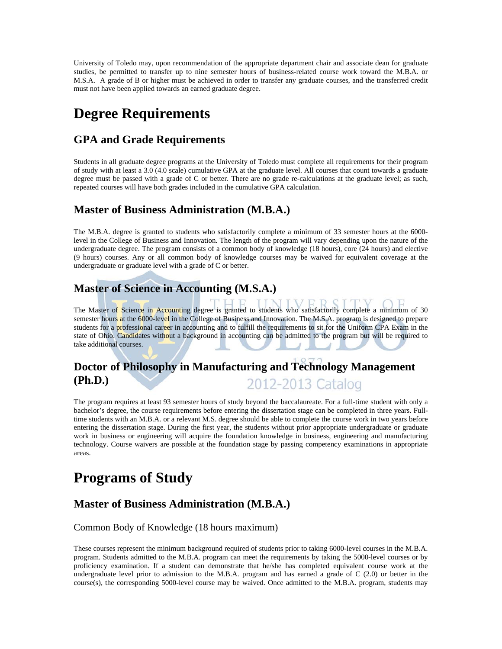University of Toledo may, upon recommendation of the appropriate department chair and associate dean for graduate studies, be permitted to transfer up to nine semester hours of business-related course work toward the M.B.A. or M.S.A. A grade of B or higher must be achieved in order to transfer any graduate courses, and the transferred credit must not have been applied towards an earned graduate degree.

# **Degree Requirements**

### **GPA and Grade Requirements**

Students in all graduate degree programs at the University of Toledo must complete all requirements for their program of study with at least a 3.0 (4.0 scale) cumulative GPA at the graduate level. All courses that count towards a graduate degree must be passed with a grade of C or better. There are no grade re-calculations at the graduate level; as such, repeated courses will have both grades included in the cumulative GPA calculation.

### **Master of Business Administration (M.B.A.)**

The M.B.A. degree is granted to students who satisfactorily complete a minimum of 33 semester hours at the 6000 level in the College of Business and Innovation. The length of the program will vary depending upon the nature of the undergraduate degree. The program consists of a common body of knowledge (18 hours), core (24 hours) and elective (9 hours) courses. Any or all common body of knowledge courses may be waived for equivalent coverage at the undergraduate or graduate level with a grade of C or better.

### **Master of Science in Accounting (M.S.A.)**

The Master of Science in Accounting degree is granted to students who satisfactorily complete a minimum of 30 semester hours at the 6000-level in the College of Business and Innovation. The M.S.A. program is designed to prepare students for a professional career in accounting and to fulfill the requirements to sit for the Uniform CPA Exam in the state of Ohio. Candidates without a background in accounting can be admitted to the program but will be required to take additional courses.

#### **Doctor of Philosophy in Manufacturing and Technology Management (Ph.D.)**  2012-2013 Catalog

The program requires at least 93 semester hours of study beyond the baccalaureate. For a full-time student with only a bachelor's degree, the course requirements before entering the dissertation stage can be completed in three years. Fulltime students with an M.B.A. or a relevant M.S. degree should be able to complete the course work in two years before entering the dissertation stage. During the first year, the students without prior appropriate undergraduate or graduate work in business or engineering will acquire the foundation knowledge in business, engineering and manufacturing technology. Course waivers are possible at the foundation stage by passing competency examinations in appropriate areas.

# **Programs of Study**

### **Master of Business Administration (M.B.A.)**

#### Common Body of Knowledge (18 hours maximum)

These courses represent the minimum background required of students prior to taking 6000-level courses in the M.B.A. program. Students admitted to the M.B.A. program can meet the requirements by taking the 5000-level courses or by proficiency examination. If a student can demonstrate that he/she has completed equivalent course work at the undergraduate level prior to admission to the M.B.A. program and has earned a grade of C (2.0) or better in the course(s), the corresponding 5000-level course may be waived. Once admitted to the M.B.A. program, students may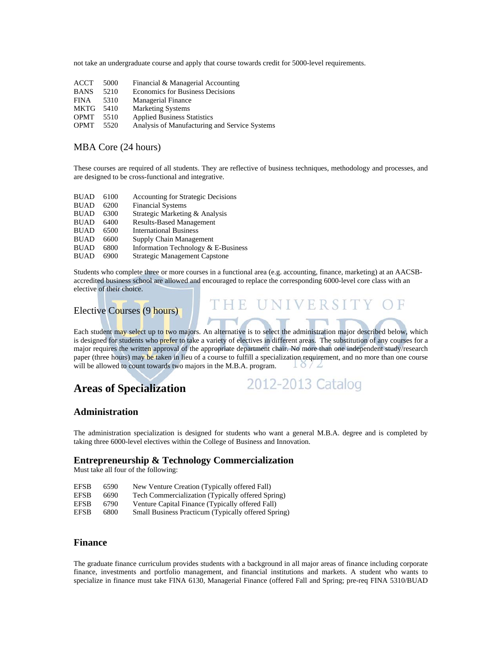not take an undergraduate course and apply that course towards credit for 5000-level requirements.

| 5000 | Financial & Managerial Accounting             |
|------|-----------------------------------------------|
| 5210 | <b>Economics for Business Decisions</b>       |
| 5310 | <b>Managerial Finance</b>                     |
| 5410 | <b>Marketing Systems</b>                      |
| 5510 | <b>Applied Business Statistics</b>            |
| 5520 | Analysis of Manufacturing and Service Systems |
|      |                                               |

#### MBA Core (24 hours)

These courses are required of all students. They are reflective of business techniques, methodology and processes, and are designed to be cross-functional and integrative.

| <b>BUAD</b> | 6100 | <b>Accounting for Strategic Decisions</b> |
|-------------|------|-------------------------------------------|
| <b>BUAD</b> | 6200 | <b>Financial Systems</b>                  |
| <b>BUAD</b> | 6300 | Strategic Marketing & Analysis            |
| <b>BUAD</b> | 6400 | <b>Results-Based Management</b>           |
| <b>BUAD</b> | 6500 | <b>International Business</b>             |
| <b>BUAD</b> | 6600 | Supply Chain Management                   |
| <b>BUAD</b> | 6800 | Information Technology & E-Business       |
| <b>BUAD</b> | 6900 | <b>Strategic Management Capstone</b>      |

Students who complete three or more courses in a functional area (e.g. accounting, finance, marketing) at an AACSBaccredited business school are allowed and encouraged to replace the corresponding 6000-level core class with an elective of their choice.

### Elective Courses (9 hours)

Each student may select up to two majors. An alternative is to select the administration major described below, which is designed for students who prefer to take a variety of electives in different areas. The substitution of any courses for a major requires the written approval of the appropriate department chair. No more than one independent study/research paper (three hours) may be taken in lieu of a course to fulfill a specialization requirement, and no more than one course will be allowed to count towards two majors in the M.B.A. program.  $10/2$ 

### **Areas of Specialization**

2012-2013 Catalog

UNIVERSIT

 $\Box$ 

#### **Administration**

The administration specialization is designed for students who want a general M.B.A. degree and is completed by taking three 6000-level electives within the College of Business and Innovation.

#### **Entrepreneurship & Technology Commercialization**

Must take all four of the following:

| <b>EFSB</b> | 6590 | New Venture Creation (Typically offered Fall)       |
|-------------|------|-----------------------------------------------------|
| <b>EFSB</b> | 6690 | Tech Commercialization (Typically offered Spring)   |
| <b>EFSB</b> | 6790 | Venture Capital Finance (Typically offered Fall)    |
| <b>EFSB</b> | 6800 | Small Business Practicum (Typically offered Spring) |

#### **Finance**

The graduate finance curriculum provides students with a background in all major areas of finance including corporate finance, investments and portfolio management, and financial institutions and markets. A student who wants to specialize in finance must take FINA 6130, Managerial Finance (offered Fall and Spring; pre-req FINA 5310/BUAD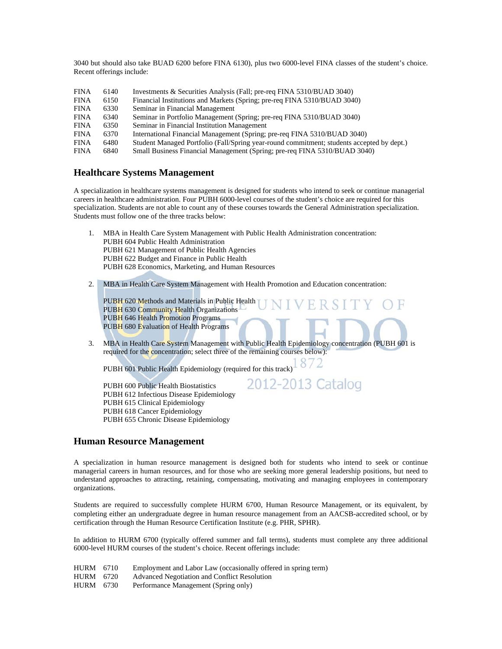3040 but should also take BUAD 6200 before FINA 6130), plus two 6000-level FINA classes of the student's choice. Recent offerings include:

| <b>FINA</b> | 6140 | Investments & Securities Analysis (Fall; pre-req FINA 5310/BUAD 3040)                     |
|-------------|------|-------------------------------------------------------------------------------------------|
| <b>FINA</b> | 6150 | Financial Institutions and Markets (Spring; pre-req FINA 5310/BUAD 3040)                  |
| <b>FINA</b> | 6330 | Seminar in Financial Management                                                           |
| <b>FINA</b> | 6340 | Seminar in Portfolio Management (Spring; pre-req FINA 5310/BUAD 3040)                     |
| <b>FINA</b> | 6350 | Seminar in Financial Institution Management                                               |
| <b>FINA</b> | 6370 | International Financial Management (Spring; pre-req FINA 5310/BUAD 3040)                  |
| <b>FINA</b> | 6480 | Student Managed Portfolio (Fall/Spring year-round commitment; students accepted by dept.) |
| <b>FINA</b> | 6840 | Small Business Financial Management (Spring; pre-req FINA 5310/BUAD 3040)                 |

#### **Healthcare Systems Management**

A specialization in healthcare systems management is designed for students who intend to seek or continue managerial careers in healthcare administration. Four PUBH 6000-level courses of the student's choice are required for this specialization. Students are not able to count any of these courses towards the General Administration specialization. Students must follow one of the three tracks below:

- 1. MBA in Health Care System Management with Public Health Administration concentration: PUBH 604 Public Health Administration PUBH 621 Management of Public Health Agencies PUBH 622 Budget and Finance in Public Health PUBH 628 Economics, Marketing, and Human Resources
- 2. MBA in Health Care System Management with Health Promotion and Education concentration:

PUBH 620 Methods and Materials in Public Health PUBH 630 Community Health Organizations PUBH 646 Health Promotion Programs PUBH 680 Evaluation of Health Programs

3. MBA in Health Care System Management with Public Health Epidemiology concentration (PUBH 601 is required for the concentration; select three of the remaining courses below):

2012-2013 Catalog

PUBH 601 Public Health Epidemiology (required for this track)  $872$ 

PUBH 600 Public Health Biostatistics PUBH 612 Infectious Disease Epidemiology PUBH 615 Clinical Epidemiology PUBH 618 Cancer Epidemiology PUBH 655 Chronic Disease Epidemiology

# **Human Resource Management**

A specialization in human resource management is designed both for students who intend to seek or continue managerial careers in human resources, and for those who are seeking more general leadership positions, but need to understand approaches to attracting, retaining, compensating, motivating and managing employees in contemporary organizations.

Students are required to successfully complete HURM 6700, Human Resource Management, or its equivalent, by completing either an undergraduate degree in human resource management from an AACSB-accredited school, or by certification through the Human Resource Certification Institute (e.g. PHR, SPHR).

In addition to HURM 6700 (typically offered summer and fall terms), students must complete any three additional 6000-level HURM courses of the student's choice. Recent offerings include:

HURM 6710 Employment and Labor Law (occasionally offered in spring term) HURM 6720 Advanced Negotiation and Conflict Resolution HURM 6730 Performance Management (Spring only)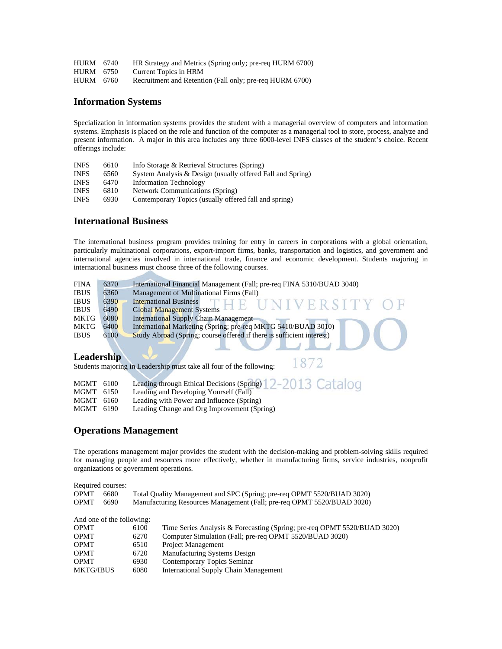| HURM 6740 | HR Strategy and Metrics (Spring only; pre-req HURM 6700) |
|-----------|----------------------------------------------------------|
| HURM 6750 | Current Topics in HRM                                    |
| HURM 6760 | Recruitment and Retention (Fall only; pre-req HURM 6700) |

#### **Information Systems**

Specialization in information systems provides the student with a managerial overview of computers and information systems. Emphasis is placed on the role and function of the computer as a managerial tool to store, process, analyze and present information. A major in this area includes any three 6000-level INFS classes of the student's choice. Recent offerings include:

| <b>INFS</b> | 6610 | Info Storage & Retrieval Structures (Spring)               |
|-------------|------|------------------------------------------------------------|
| <b>INFS</b> | 6560 | System Analysis & Design (usually offered Fall and Spring) |
| <b>INFS</b> | 6470 | <b>Information Technology</b>                              |
| <b>INFS</b> | 6810 | Network Communications (Spring)                            |
| <b>INFS</b> | 6930 | Contemporary Topics (usually offered fall and spring)      |

#### **International Business**

The international business program provides training for entry in careers in corporations with a global orientation, particularly multinational corporations, export-import firms, banks, transportation and logistics, and government and international agencies involved in international trade, finance and economic development. Students majoring in international business must choose three of the following courses.

| <b>FINA</b> | 6370 | International Financial Management (Fall; pre-req FINA 5310/BUAD 3040) |
|-------------|------|------------------------------------------------------------------------|
| <b>IBUS</b> | 6360 | Management of Multinational Firms (Fall)                               |
| <b>IBUS</b> | 6390 | <b>International Business</b><br>THE UNIVERSITY OF                     |
| <b>IBUS</b> | 6490 | <b>Global Management Systems</b>                                       |
| MKTG        | 6080 | <b>International Supply Chain Management</b>                           |
| <b>MKTG</b> | 6400 | International Marketing (Spring; pre-req MKTG 5410/BUAD 3010)          |
| <b>IBUS</b> | 6100 | Study Abroad (Spring; course offered if there is sufficient interest)  |
|             |      |                                                                        |

#### **Leadership**

Students majoring in Leadership must take all four of the following:

1872

| MGMT 6100 | Leading through Ethical Decisions (Spring) 2-2013 Catalog |  |
|-----------|-----------------------------------------------------------|--|
| MGMT 6150 | Leading and Developing Yourself (Fall)                    |  |
| MGMT 6160 | Leading with Power and Influence (Spring)                 |  |
| MGMT 6190 | Leading Change and Org Improvement (Spring)               |  |

#### **Operations Management**

The operations management major provides the student with the decision-making and problem-solving skills required for managing people and resources more effectively, whether in manufacturing firms, service industries, nonprofit organizations or government operations.

| Required courses: |                           |      |                                                                          |
|-------------------|---------------------------|------|--------------------------------------------------------------------------|
| <b>OPMT</b>       | 6680                      |      | Total Quality Management and SPC (Spring; pre-req OPMT 5520/BUAD 3020)   |
| <b>OPMT</b>       | 6690                      |      | Manufacturing Resources Management (Fall; pre-req OPMT 5520/BUAD 3020)   |
|                   | And one of the following: |      |                                                                          |
| <b>OPMT</b>       |                           | 6100 | Time Series Analysis & Forecasting (Spring; pre-req OPMT 5520/BUAD 3020) |
| <b>OPMT</b>       |                           | 6270 | Computer Simulation (Fall; pre-req OPMT 5520/BUAD 3020)                  |
| <b>OPMT</b>       |                           | 6510 | <b>Project Management</b>                                                |
| <b>OPMT</b>       |                           | 6720 | Manufacturing Systems Design                                             |
| <b>OPMT</b>       |                           | 6930 | Contemporary Topics Seminar                                              |
| <b>MKTG/IBUS</b>  |                           | 6080 | <b>International Supply Chain Management</b>                             |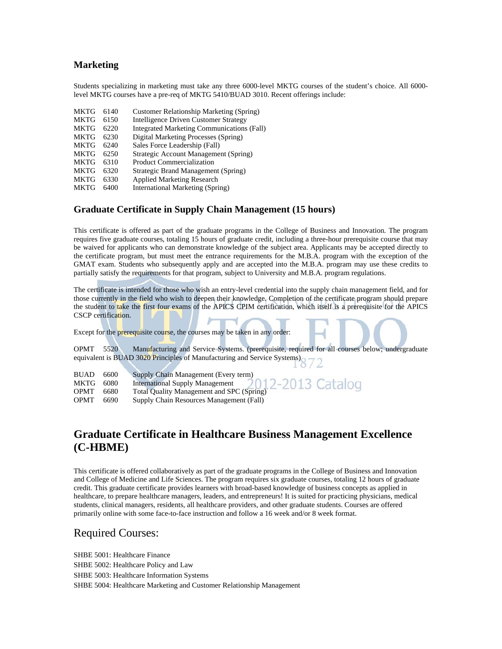#### **Marketing**

Students specializing in marketing must take any three 6000-level MKTG courses of the student's choice. All 6000 level MKTG courses have a pre-req of MKTG 5410/BUAD 3010. Recent offerings include:

| <b>MKTG</b> | 6140 | Customer Relationship Marketing (Spring)          |
|-------------|------|---------------------------------------------------|
| <b>MKTG</b> | 6150 | <b>Intelligence Driven Customer Strategy</b>      |
| <b>MKTG</b> | 6220 | <b>Integrated Marketing Communications (Fall)</b> |
| <b>MKTG</b> | 6230 | Digital Marketing Processes (Spring)              |
| <b>MKTG</b> | 6240 | Sales Force Leadership (Fall)                     |
| <b>MKTG</b> | 6250 | Strategic Account Management (Spring)             |
| <b>MKTG</b> | 6310 | <b>Product Commercialization</b>                  |
| <b>MKTG</b> | 6320 | Strategic Brand Management (Spring)               |
| <b>MKTG</b> | 6330 | <b>Applied Marketing Research</b>                 |
|             |      |                                                   |

#### MKTG 6400 International Marketing (Spring)

#### **Graduate Certificate in Supply Chain Management (15 hours)**

This certificate is offered as part of the graduate programs in the College of Business and Innovation. The program requires five graduate courses, totaling 15 hours of graduate credit, including a three-hour prerequisite course that may be waived for applicants who can demonstrate knowledge of the subject area. Applicants may be accepted directly to the certificate program, but must meet the entrance requirements for the M.B.A. program with the exception of the GMAT exam. Students who subsequently apply and are accepted into the M.B.A. program may use these credits to partially satisfy the requirements for that program, subject to University and M.B.A. program regulations.

The certificate is intended for those who wish an entry-level credential into the supply chain management field, and for those currently in the field who wish to deepen their knowledge. Completion of the certificate program should prepare the student to take the first four exams of the APICS CPIM certification, which itself is a prerequisite for the APICS CSCP certification.

Except for the prerequisite course, the courses may be taken in any order:

OPMT 5520 Manufacturing and Service Systems. (prerequisite, required for all courses below; undergraduate equivalent is BUAD 3020 Principles of Manufacturing and Service Systems)

| <b>BUAD</b> | 6600 | Supply Chain Management (Every term)                                                           |  |
|-------------|------|------------------------------------------------------------------------------------------------|--|
| MKTG        | 6080 | International Supply Management 2012-2013 Catalog<br>Total Quality Management and SPC (Spring) |  |
| <b>OPMT</b> | 6680 |                                                                                                |  |
| <b>OPMT</b> | 6690 | Supply Chain Resources Management (Fall)                                                       |  |

### **Graduate Certificate in Healthcare Business Management Excellence (C-HBME)**

This certificate is offered collaboratively as part of the graduate programs in the College of Business and Innovation and College of Medicine and Life Sciences. The program requires six graduate courses, totaling 12 hours of graduate credit. This graduate certificate provides learners with broad-based knowledge of business concepts as applied in healthcare, to prepare healthcare managers, leaders, and entrepreneurs! It is suited for practicing physicians, medical students, clinical managers, residents, all healthcare providers, and other graduate students. Courses are offered primarily online with some face-to-face instruction and follow a 16 week and/or 8 week format.

#### Required Courses:

SHBE 5001: Healthcare Finance SHBE 5002: Healthcare Policy and Law SHBE 5003: Healthcare Information Systems SHBE 5004: Healthcare Marketing and Customer Relationship Management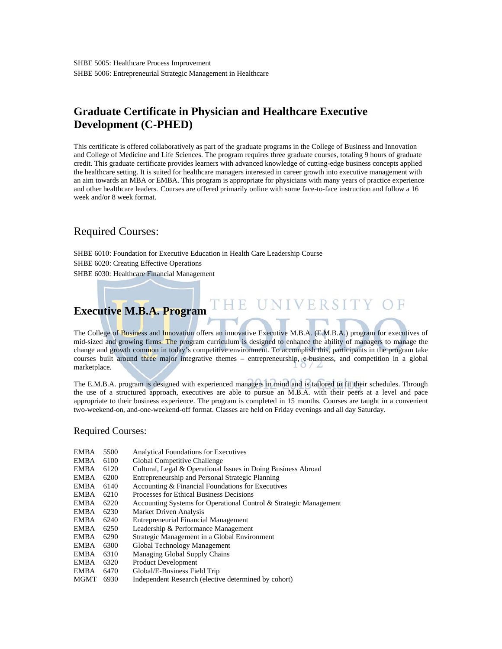### **Graduate Certificate in Physician and Healthcare Executive Development (C-PHED)**

This certificate is offered collaboratively as part of the graduate programs in the College of Business and Innovation and College of Medicine and Life Sciences. The program requires three graduate courses, totaling 9 hours of graduate credit. This graduate certificate provides learners with advanced knowledge of cutting-edge business concepts applied the healthcare setting. It is suited for healthcare managers interested in career growth into executive management with an aim towards an MBA or EMBA. This program is appropriate for physicians with many years of practice experience and other healthcare leaders. Courses are offered primarily online with some face-to-face instruction and follow a 16 week and/or 8 week format.

### Required Courses:

SHBE 6010: Foundation for Executive Education in Health Care Leadership Course SHBE 6020: Creating Effective Operations SHBE 6030: Healthcare Financial Management

### **Executive M.B.A. Program**

The College of Business and Innovation offers an innovative Executive M.B.A. (E.M.B.A.) program for executives of mid-sized and growing firms. The program curriculum is designed to enhance the ability of managers to manage the change and growth common in today's competitive environment. To accomplish this, participants in the program take courses built around three major integrative themes – entrepreneurship, e-business, and competition in a global marketplace.

THE UNIVERSITY OF

The E.M.B.A. program is designed with experienced managers in mind and is tailored to fit their schedules. Through the use of a structured approach, executives are able to pursue an M.B.A. with their peers at a level and pace appropriate to their business experience. The program is completed in 15 months. Courses are taught in a convenient two-weekend-on, and-one-weekend-off format. Classes are held on Friday evenings and all day Saturday.

#### Required Courses:

- EMBA 5500 Analytical Foundations for Executives
- EMBA 6100 Global Competitive Challenge
- EMBA 6120 Cultural, Legal & Operational Issues in Doing Business Abroad
- EMBA 6200 Entrepreneurship and Personal Strategic Planning
- EMBA 6140 Accounting & Financial Foundations for Executives
- EMBA 6210 Processes for Ethical Business Decisions
- EMBA 6220 Accounting Systems for Operational Control & Strategic Management EMBA 6230 Market Driven Analysis
- Market Driven Analysis
- EMBA 6240 Entrepreneurial Financial Management
- EMBA 6250 Leadership & Performance Management
- EMBA 6290 Strategic Management in a Global Environment
- EMBA 6300 Global Technology Management
- EMBA 6310 Managing Global Supply Chains
- EMBA 6320 Product Development
- EMBA 6470 Global/E-Business Field Trip
- MGMT 6930 Independent Research (elective determined by cohort)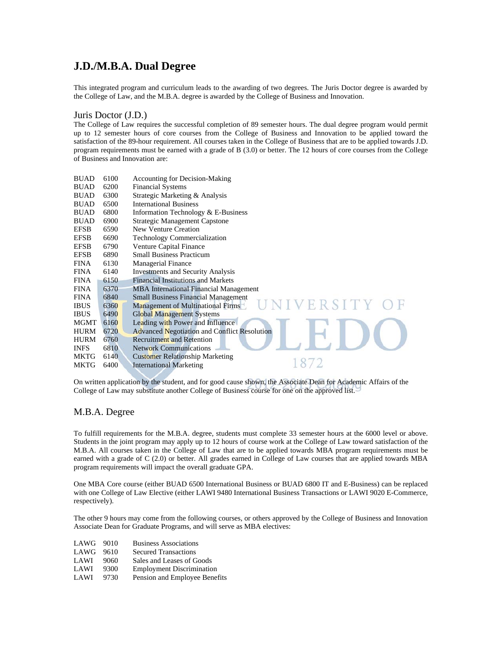### **J.D./M.B.A. Dual Degree**

This integrated program and curriculum leads to the awarding of two degrees. The Juris Doctor degree is awarded by the College of Law, and the M.B.A. degree is awarded by the College of Business and Innovation.

#### Juris Doctor (J.D.)

The College of Law requires the successful completion of 89 semester hours. The dual degree program would permit up to 12 semester hours of core courses from the College of Business and Innovation to be applied toward the satisfaction of the 89-hour requirement. All courses taken in the College of Business that are to be applied towards J.D. program requirements must be earned with a grade of B (3.0) or better. The 12 hours of core courses from the College of Business and Innovation are:

| <b>BUAD</b> | 6100 | <b>Accounting for Decision-Making</b>               |
|-------------|------|-----------------------------------------------------|
| <b>BUAD</b> | 6200 | <b>Financial Systems</b>                            |
| <b>BUAD</b> | 6300 | Strategic Marketing & Analysis                      |
| <b>BUAD</b> | 6500 | <b>International Business</b>                       |
| <b>BUAD</b> | 6800 | Information Technology & E-Business                 |
| <b>BUAD</b> | 6900 | <b>Strategic Management Capstone</b>                |
| <b>EFSB</b> | 6590 | New Venture Creation                                |
| <b>EFSB</b> | 6690 | Technology Commercialization                        |
| <b>EFSB</b> | 6790 | <b>Venture Capital Finance</b>                      |
| <b>EFSB</b> | 6890 | <b>Small Business Practicum</b>                     |
| <b>FINA</b> | 6130 | <b>Managerial Finance</b>                           |
| <b>FINA</b> | 6140 | <b>Investments and Security Analysis</b>            |
| <b>FINA</b> | 6150 | <b>Financial Institutions and Markets</b>           |
| <b>FINA</b> | 6370 | <b>MBA</b> International Financial Management       |
| <b>FINA</b> | 6840 | <b>Small Business Financial Management</b>          |
| <b>IBUS</b> | 6360 | VERSITY<br>Management of Multinational Firms        |
| <b>IBUS</b> | 6490 | <b>Global Management Systems</b>                    |
| MGMT        | 6160 | Leading with Power and Influence                    |
| <b>HURM</b> | 6720 | <b>Advanced Negotiation and Conflict Resolution</b> |
| <b>HURM</b> | 6760 | <b>Recruitment and Retention</b>                    |
| <b>INFS</b> | 6810 | <b>Network Communications</b>                       |
| MKTG        | 6140 | <b>Customer Relationship Marketing</b>              |
| <b>MKTG</b> | 6400 | <b>International Marketing</b>                      |
|             |      |                                                     |

On written application by the student, and for good cause shown, the Associate Dean for Academic Affairs of the College of Law may substitute another College of Business course for one on the approved list.

#### M.B.A. Degree

To fulfill requirements for the M.B.A. degree, students must complete 33 semester hours at the 6000 level or above. Students in the joint program may apply up to 12 hours of course work at the College of Law toward satisfaction of the M.B.A. All courses taken in the College of Law that are to be applied towards MBA program requirements must be earned with a grade of C (2.0) or better. All grades earned in College of Law courses that are applied towards MBA program requirements will impact the overall graduate GPA.

One MBA Core course (either BUAD 6500 International Business or BUAD 6800 IT and E-Business) can be replaced with one College of Law Elective (either LAWI 9480 International Business Transactions or LAWI 9020 E-Commerce, respectively).

The other 9 hours may come from the following courses, or others approved by the College of Business and Innovation Associate Dean for Graduate Programs, and will serve as MBA electives:

| LAWG 9010 |      | <b>Business Associations</b>     |
|-----------|------|----------------------------------|
| LAWG 9610 |      | <b>Secured Transactions</b>      |
| LAWI      | 9060 | Sales and Leases of Goods        |
| LAWI      | 9300 | <b>Employment Discrimination</b> |
| LAWI      | 9730 | Pension and Employee Benefits    |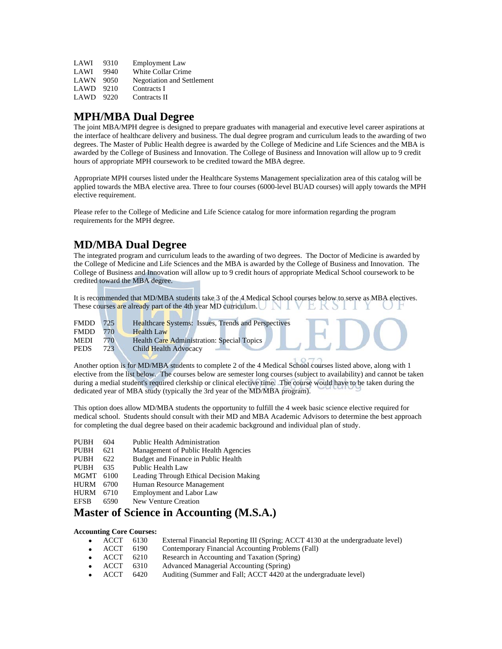| LAWI        | 9310 | <b>Employment Law</b>             |
|-------------|------|-----------------------------------|
| LAWI        | 9940 | White Collar Crime                |
| <b>LAWN</b> | 9050 | <b>Negotiation and Settlement</b> |
| LAWD        | 9210 | Contracts I                       |
| LAWD        | 9220 | Contracts II                      |

### **MPH/MBA Dual Degree**

The joint MBA/MPH degree is designed to prepare graduates with managerial and executive level career aspirations at the interface of healthcare delivery and business. The dual degree program and curriculum leads to the awarding of two degrees. The Master of Public Health degree is awarded by the College of Medicine and Life Sciences and the MBA is awarded by the College of Business and Innovation. The College of Business and Innovation will allow up to 9 credit hours of appropriate MPH coursework to be credited toward the MBA degree.

Appropriate MPH courses listed under the Healthcare Systems Management specialization area of this catalog will be applied towards the MBA elective area. Three to four courses (6000-level BUAD courses) will apply towards the MPH elective requirement.

Please refer to the College of Medicine and Life Science catalog for more information regarding the program requirements for the MPH degree.

### **MD/MBA Dual Degree**

The integrated program and curriculum leads to the awarding of two degrees. The Doctor of Medicine is awarded by the College of Medicine and Life Sciences and the MBA is awarded by the College of Business and Innovation. The College of Business and Innovation will allow up to 9 credit hours of appropriate Medical School coursework to be credited toward the MBA degree.

It is recommended that MD/MBA students take 3 of the 4 Medical School courses below to serve as MBA electives. These courses are already part of the 4th year MD curriculum.  $\Box$ 

| <b>FMDD</b> | 725 | Healthcare Systems: Issues, Trends and Perspectives |
|-------------|-----|-----------------------------------------------------|
| <b>FMDD</b> | 770 | <b>Health Law</b>                                   |
| <b>MEDI</b> | 770 | Health Care Administration: Special Topics          |
| <b>PEDS</b> | 723 | <b>Child Health Advocacy</b>                        |
|             |     |                                                     |

Another option is for MD/MBA students to complete 2 of the 4 Medical School courses listed above, along with 1 elective from the list below. The courses below are semester long courses (subject to availability) and cannot be taken during a medial student's required clerkship or clinical elective time. The course would have to be taken during the dedicated year of MBA study (typically the 3rd year of the MD/MBA program).

This option does allow MD/MBA students the opportunity to fulfill the 4 week basic science elective required for medical school. Students should consult with their MD and MBA Academic Advisors to determine the best approach for completing the dual degree based on their academic background and individual plan of study.

- PUBH 604 Public Health Administration<br>PUBH 621 Management of Public Health
- 621 Management of Public Health Agencies
- PUBH 622 Budget and Finance in Public Health
- PUBH 635 Public Health Law<br>MGMT 6100 Leading Through F
- Leading Through Ethical Decision Making
- HURM 6700 Human Resource Management
- HURM 6710 Employment and Labor Law<br>EFSB 6590 New Venture Creation
- 6590 New Venture Creation

#### **Master of Science in Accounting (M.S.A.)**

#### **Accounting Core Courses:**

| $\bullet$ ACCT | 6130 | External Financial Reporting III (Spring; ACCT 4130 at the undergraduate level) |
|----------------|------|---------------------------------------------------------------------------------|
| $\bullet$ ACCT | 6190 | Contemporary Financial Accounting Problems (Fall)                               |
| $\bullet$ ACCT | 6210 | Research in Accounting and Taxation (Spring)                                    |
| $\bullet$ ACCT | 6310 | Advanced Managerial Accounting (Spring)                                         |

ACCT 6420 Auditing (Summer and Fall; ACCT 4420 at the undergraduate level)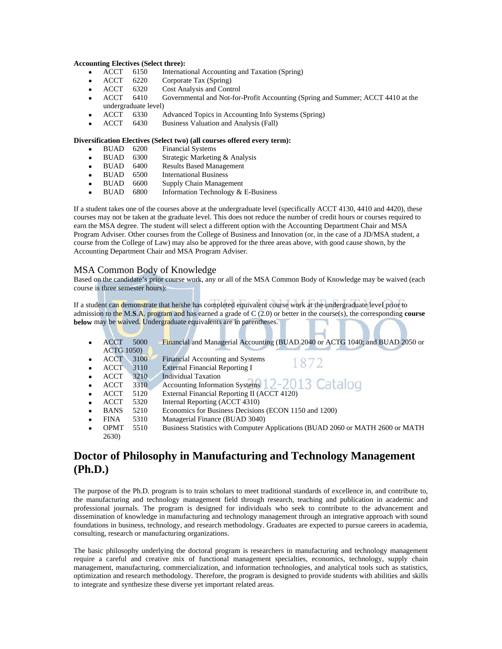#### **Accounting Electives (Select three):**

- ACCT 6150 International Accounting and Taxation (Spring)
- ACCT 6220 Corporate Tax (Spring)
- ACCT 6320 Cost Analysis and Control
- ACCT 6410 Governmental and Not-for-Profit Accounting (Spring and Summer; ACCT 4410 at the undergraduate level)
- ACCT 6330 Advanced Topics in Accounting Info Systems (Spring)
- ACCT 6430 Business Valuation and Analysis (Fall)

#### **Diversification Electives (Select two) (all courses offered every term):**

- BUAD 6200 Financial Systems
- BUAD 6300 Strategic Marketing & Analysis
- BUAD 6400 Results Based Management
- BUAD 6500 International Business
- BUAD 6600 Supply Chain Management
- BUAD 6800 Information Technology & E-Business

If a student takes one of the courses above at the undergraduate level (specifically ACCT 4130, 4410 and 4420), these courses may not be taken at the graduate level. This does not reduce the number of credit hours or courses required to earn the MSA degree. The student will select a different option with the Accounting Department Chair and MSA Program Adviser. Other courses from the College of Business and Innovation (or, in the case of a JD/MSA student, a course from the College of Law) may also be approved for the three areas above, with good cause shown, by the Accounting Department Chair and MSA Program Adviser.

#### MSA Common Body of Knowledge

Based on the candidate's prior course work, any or all of the MSA Common Body of Knowledge may be waived (each course is three semester hours):

If a student can demonstrate that he/she has completed equivalent course work at the undergraduate level prior to admission to the M.**S**.A. program and has earned a grade of C (2.0) or better in the course(s), the corresponding **course below** may be waived. Undergraduate equivalents are in parentheses.

| $\bullet$ | <b>ACCT</b>       | 5000 | Financial and Managerial Accounting (BUAD 2040 or ACTG 1040; and BUAD 2050 or  |
|-----------|-------------------|------|--------------------------------------------------------------------------------|
|           | <b>ACTG 1050)</b> |      |                                                                                |
|           | <b>ACCT</b>       | 3100 | Financial Accounting and Systems<br>1872                                       |
| $\bullet$ | <b>ACCT</b>       | 3110 | <b>External Financial Reporting I</b>                                          |
|           | ACCT              | 3210 | <b>Individual Taxation</b>                                                     |
|           | <b>ACCT</b>       | 3310 | Accounting Information Systems 12-2013 Catalog                                 |
| $\bullet$ | <b>ACCT</b>       | 5120 | External Financial Reporting II (ACCT 4120)                                    |
| $\bullet$ | <b>ACCT</b>       | 5320 | Internal Reporting (ACCT 4310)                                                 |
| $\bullet$ | <b>BANS</b>       | 5210 | Economics for Business Decisions (ECON 1150 and 1200)                          |
| $\bullet$ | <b>FINA</b>       | 5310 | Managerial Finance (BUAD 3040)                                                 |
| $\bullet$ | <b>OPMT</b>       | 5510 | Business Statistics with Computer Applications (BUAD 2060 or MATH 2600 or MATH |
|           | 2630)             |      |                                                                                |
|           |                   |      |                                                                                |

### **Doctor of Philosophy in Manufacturing and Technology Management (Ph.D.)**

The purpose of the Ph.D. program is to train scholars to meet traditional standards of excellence in, and contribute to, the manufacturing and technology management field through research, teaching and publication in academic and professional journals. The program is designed for individuals who seek to contribute to the advancement and dissemination of knowledge in manufacturing and technology management through an integrative approach with sound foundations in business, technology, and research methodology. Graduates are expected to pursue careers in academia, consulting, research or manufacturing organizations.

The basic philosophy underlying the doctoral program is researchers in manufacturing and technology management require a careful and creative mix of functional management specialties, economics, technology, supply chain management, manufacturing, commercialization, and information technologies, and analytical tools such as statistics, optimization and research methodology. Therefore, the program is designed to provide students with abilities and skills to integrate and synthesize these diverse yet important related areas.